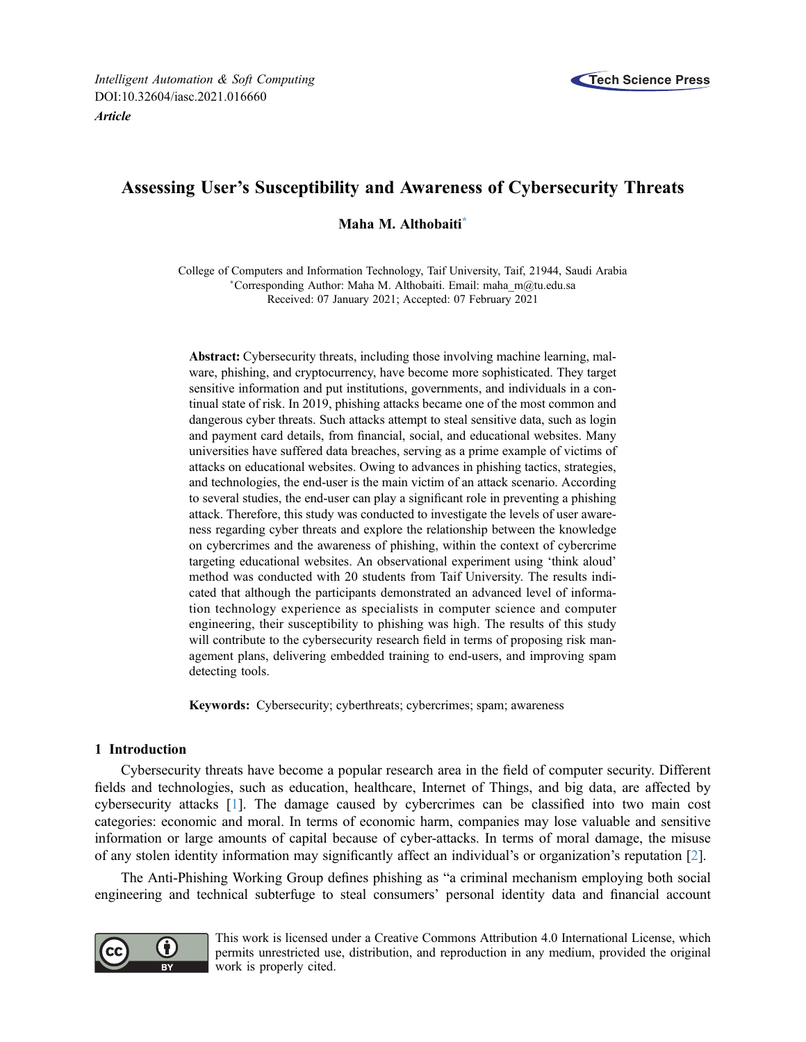

# Assessing User's Susceptibility and Awareness of Cybersecurity Threats

Maha M. Althobaiti[\\*](#page-0-0)

<span id="page-0-0"></span>College of Computers and Information Technology, Taif University, Taif, 21944, Saudi Arabia Corresponding Author: Maha M. Althobaiti. Email: [maha\\_m@tu.edu.sa](mailto:maha_m@tu.edu.sa) Received: 07 January 2021; Accepted: 07 February 2021

Abstract: Cybersecurity threats, including those involving machine learning, malware, phishing, and cryptocurrency, have become more sophisticated. They target sensitive information and put institutions, governments, and individuals in a continual state of risk. In 2019, phishing attacks became one of the most common and dangerous cyber threats. Such attacks attempt to steal sensitive data, such as login and payment card details, from financial, social, and educational websites. Many universities have suffered data breaches, serving as a prime example of victims of attacks on educational websites. Owing to advances in phishing tactics, strategies, and technologies, the end-user is the main victim of an attack scenario. According to several studies, the end-user can play a significant role in preventing a phishing attack. Therefore, this study was conducted to investigate the levels of user awareness regarding cyber threats and explore the relationship between the knowledge on cybercrimes and the awareness of phishing, within the context of cybercrime targeting educational websites. An observational experiment using 'think aloud' method was conducted with 20 students from Taif University. The results indicated that although the participants demonstrated an advanced level of information technology experience as specialists in computer science and computer engineering, their susceptibility to phishing was high. The results of this study will contribute to the cybersecurity research field in terms of proposing risk management plans, delivering embedded training to end-users, and improving spam detecting tools.

Keywords: Cybersecurity; cyberthreats; cybercrimes; spam; awareness

# 1 Introduction

Cybersecurity threats have become a popular research area in the field of computer security. Different fields and technologies, such as education, healthcare, Internet of Things, and big data, are affected by cybersecurity attacks [[1](#page-8-0)]. The damage caused by cybercrimes can be classified into two main cost categories: economic and moral. In terms of economic harm, companies may lose valuable and sensitive information or large amounts of capital because of cyber-attacks. In terms of moral damage, the misuse of any stolen identity information may significantly affect an individual's or organization's reputation [\[2\]](#page-8-1).

The Anti-Phishing Working Group defines phishing as "a criminal mechanism employing both social engineering and technical subterfuge to steal consumers' personal identity data and financial account



This work is licensed under a Creative Commons Attribution 4.0 International License, which permits unrestricted use, distribution, and reproduction in any medium, provided the original work is properly cited.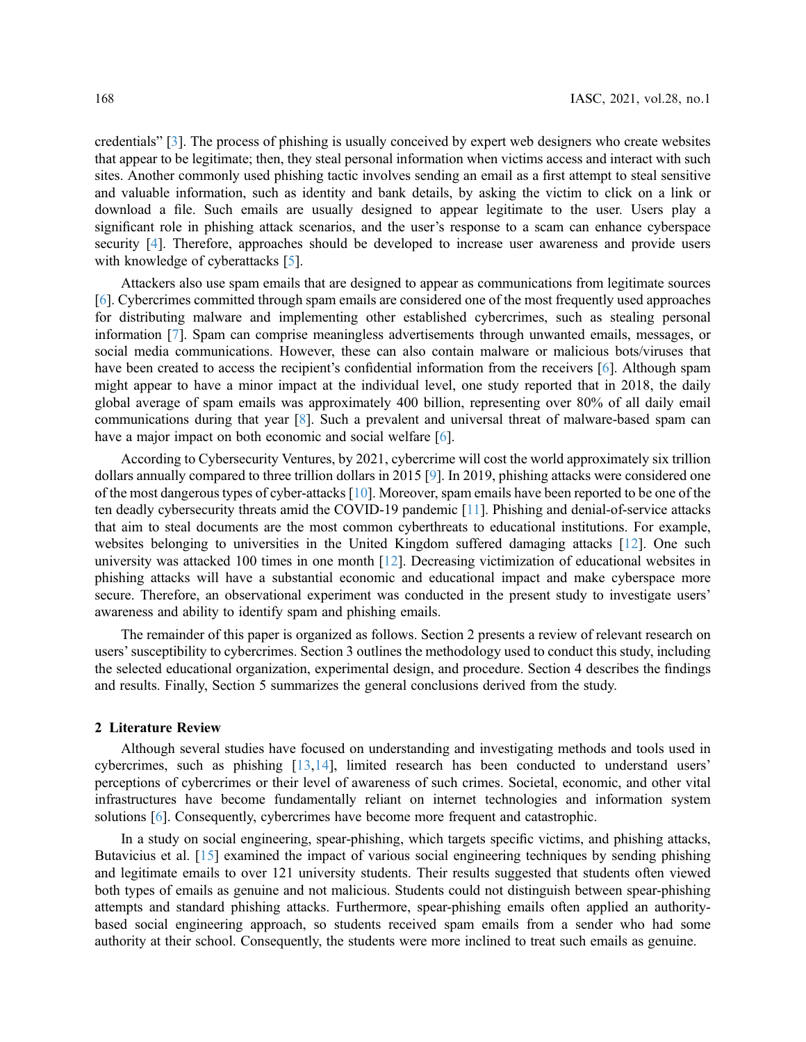credentials" [\[3](#page-8-2)]. The process of phishing is usually conceived by expert web designers who create websites that appear to be legitimate; then, they steal personal information when victims access and interact with such sites. Another commonly used phishing tactic involves sending an email as a first attempt to steal sensitive and valuable information, such as identity and bank details, by asking the victim to click on a link or download a file. Such emails are usually designed to appear legitimate to the user. Users play a significant role in phishing attack scenarios, and the user's response to a scam can enhance cyberspace security [[4](#page-8-3)]. Therefore, approaches should be developed to increase user awareness and provide users with knowledge of cyberattacks [[5](#page-9-0)].

Attackers also use spam emails that are designed to appear as communications from legitimate sources [[6](#page-9-1)]. Cybercrimes committed through spam emails are considered one of the most frequently used approaches for distributing malware and implementing other established cybercrimes, such as stealing personal information [[7](#page-9-2)]. Spam can comprise meaningless advertisements through unwanted emails, messages, or social media communications. However, these can also contain malware or malicious bots/viruses that have been created to access the recipient's confidential information from the receivers [[6](#page-9-1)]. Although spam might appear to have a minor impact at the individual level, one study reported that in 2018, the daily global average of spam emails was approximately 400 billion, representing over 80% of all daily email communications during that year [\[8\]](#page-9-3). Such a prevalent and universal threat of malware-based spam can have a major impact on both economic and social welfare [\[6](#page-9-1)].

According to Cybersecurity Ventures, by 2021, cybercrime will cost the world approximately six trillion dollars annually compared to three trillion dollars in 2015 [\[9\]](#page-9-4). In 2019, phishing attacks were considered one of the most dangerous types of cyber-attacks [\[10](#page-9-5)]. Moreover, spam emails have been reported to be one of the ten deadly cybersecurity threats amid the COVID-19 pandemic [[11](#page-9-6)]. Phishing and denial-of-service attacks that aim to steal documents are the most common cyberthreats to educational institutions. For example, websites belonging to universities in the United Kingdom suffered damaging attacks [\[12](#page-9-7)]. One such university was attacked 100 times in one month [[12\]](#page-9-7). Decreasing victimization of educational websites in phishing attacks will have a substantial economic and educational impact and make cyberspace more secure. Therefore, an observational experiment was conducted in the present study to investigate users' awareness and ability to identify spam and phishing emails.

The remainder of this paper is organized as follows. Section 2 presents a review of relevant research on users'susceptibility to cybercrimes. Section 3 outlines the methodology used to conduct this study, including the selected educational organization, experimental design, and procedure. Section 4 describes the findings and results. Finally, Section 5 summarizes the general conclusions derived from the study.

#### 2 Literature Review

Although several studies have focused on understanding and investigating methods and tools used in cybercrimes, such as phishing [\[13](#page-9-8)[,14](#page-9-9)], limited research has been conducted to understand users' perceptions of cybercrimes or their level of awareness of such crimes. Societal, economic, and other vital infrastructures have become fundamentally reliant on internet technologies and information system solutions [\[6\]](#page-9-1). Consequently, cybercrimes have become more frequent and catastrophic.

In a study on social engineering, spear-phishing, which targets specific victims, and phishing attacks, Butavicius et al. [[15\]](#page-9-10) examined the impact of various social engineering techniques by sending phishing and legitimate emails to over 121 university students. Their results suggested that students often viewed both types of emails as genuine and not malicious. Students could not distinguish between spear-phishing attempts and standard phishing attacks. Furthermore, spear-phishing emails often applied an authoritybased social engineering approach, so students received spam emails from a sender who had some authority at their school. Consequently, the students were more inclined to treat such emails as genuine.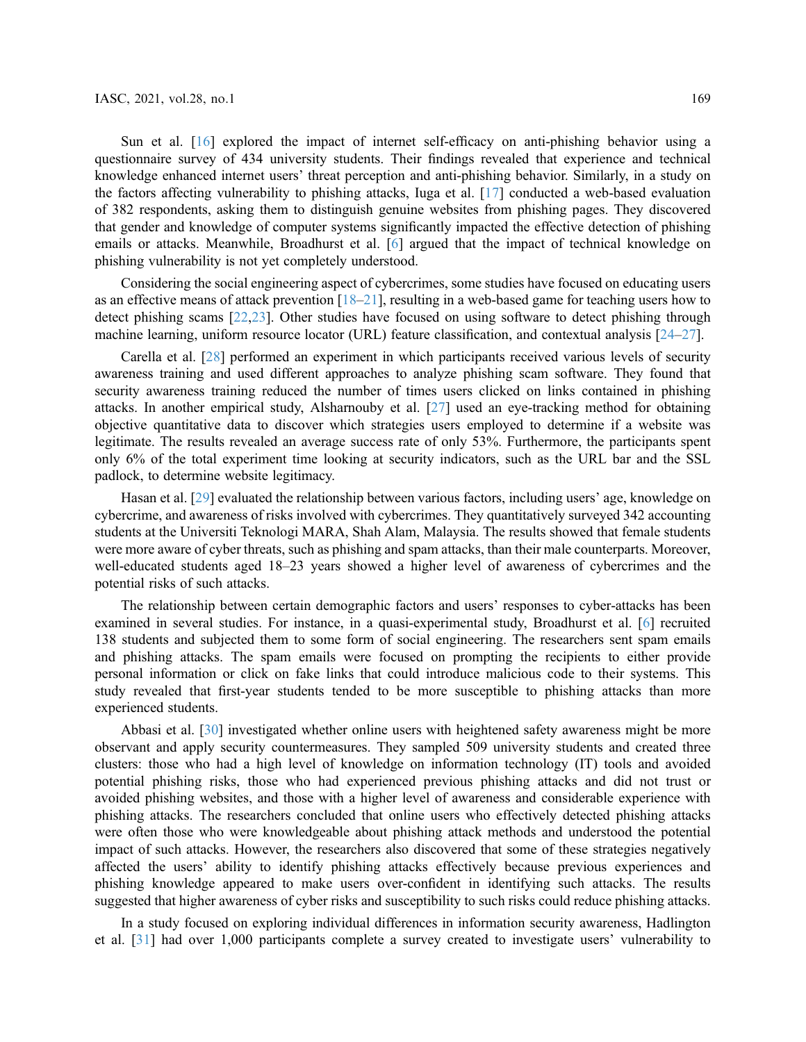Sun et al. [[16\]](#page-9-11) explored the impact of internet self-efficacy on anti-phishing behavior using a questionnaire survey of 434 university students. Their findings revealed that experience and technical knowledge enhanced internet users' threat perception and anti-phishing behavior. Similarly, in a study on the factors affecting vulnerability to phishing attacks, Iuga et al. [\[17](#page-9-12)] conducted a web-based evaluation of 382 respondents, asking them to distinguish genuine websites from phishing pages. They discovered that gender and knowledge of computer systems significantly impacted the effective detection of phishing emails or attacks. Meanwhile, Broadhurst et al. [\[6\]](#page-9-1) argued that the impact of technical knowledge on phishing vulnerability is not yet completely understood.

Considering the social engineering aspect of cybercrimes, some studies have focused on educating users as an effective means of attack prevention  $[18-21]$  $[18-21]$  $[18-21]$  $[18-21]$  $[18-21]$ , resulting in a web-based game for teaching users how to detect phishing scams [[22,](#page-9-15)[23](#page-9-16)]. Other studies have focused on using software to detect phishing through machine learning, uniform resource locator (URL) feature classification, and contextual analysis [[24](#page-9-17)–[27](#page-10-0)].

Carella et al. [[28](#page-10-1)] performed an experiment in which participants received various levels of security awareness training and used different approaches to analyze phishing scam software. They found that security awareness training reduced the number of times users clicked on links contained in phishing attacks. In another empirical study, Alsharnouby et al. [[27](#page-10-0)] used an eye-tracking method for obtaining objective quantitative data to discover which strategies users employed to determine if a website was legitimate. The results revealed an average success rate of only 53%. Furthermore, the participants spent only 6% of the total experiment time looking at security indicators, such as the URL bar and the SSL padlock, to determine website legitimacy.

Hasan et al. [\[29](#page-10-2)] evaluated the relationship between various factors, including users' age, knowledge on cybercrime, and awareness of risks involved with cybercrimes. They quantitatively surveyed 342 accounting students at the Universiti Teknologi MARA, Shah Alam, Malaysia. The results showed that female students were more aware of cyber threats, such as phishing and spam attacks, than their male counterparts. Moreover, well-educated students aged 18–23 years showed a higher level of awareness of cybercrimes and the potential risks of such attacks.

The relationship between certain demographic factors and users' responses to cyber-attacks has been examined in several studies. For instance, in a quasi-experimental study, Broadhurst et al. [\[6\]](#page-9-1) recruited 138 students and subjected them to some form of social engineering. The researchers sent spam emails and phishing attacks. The spam emails were focused on prompting the recipients to either provide personal information or click on fake links that could introduce malicious code to their systems. This study revealed that first-year students tended to be more susceptible to phishing attacks than more experienced students.

Abbasi et al. [\[30](#page-10-3)] investigated whether online users with heightened safety awareness might be more observant and apply security countermeasures. They sampled 509 university students and created three clusters: those who had a high level of knowledge on information technology (IT) tools and avoided potential phishing risks, those who had experienced previous phishing attacks and did not trust or avoided phishing websites, and those with a higher level of awareness and considerable experience with phishing attacks. The researchers concluded that online users who effectively detected phishing attacks were often those who were knowledgeable about phishing attack methods and understood the potential impact of such attacks. However, the researchers also discovered that some of these strategies negatively affected the users' ability to identify phishing attacks effectively because previous experiences and phishing knowledge appeared to make users over-confident in identifying such attacks. The results suggested that higher awareness of cyber risks and susceptibility to such risks could reduce phishing attacks.

In a study focused on exploring individual differences in information security awareness, Hadlington et al. [\[31](#page-10-4)] had over 1,000 participants complete a survey created to investigate users' vulnerability to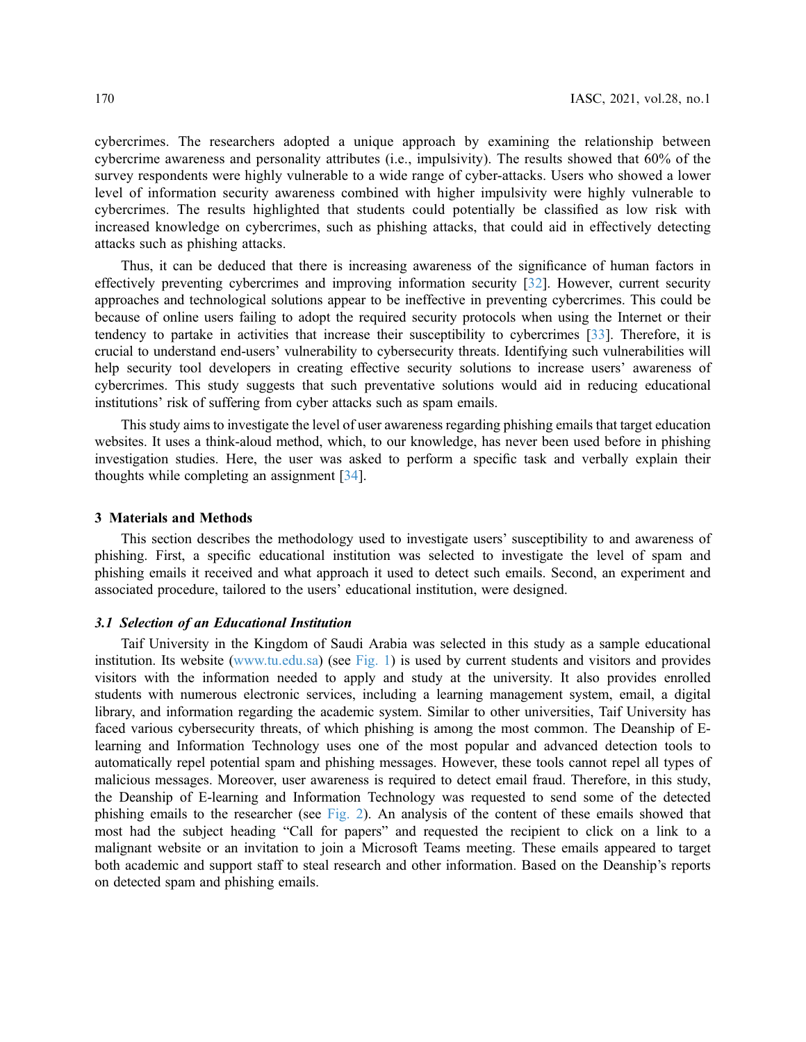cybercrimes. The researchers adopted a unique approach by examining the relationship between cybercrime awareness and personality attributes (i.e., impulsivity). The results showed that 60% of the survey respondents were highly vulnerable to a wide range of cyber-attacks. Users who showed a lower level of information security awareness combined with higher impulsivity were highly vulnerable to cybercrimes. The results highlighted that students could potentially be classified as low risk with increased knowledge on cybercrimes, such as phishing attacks, that could aid in effectively detecting attacks such as phishing attacks.

Thus, it can be deduced that there is increasing awareness of the significance of human factors in effectively preventing cybercrimes and improving information security [\[32](#page-10-5)]. However, current security approaches and technological solutions appear to be ineffective in preventing cybercrimes. This could be because of online users failing to adopt the required security protocols when using the Internet or their tendency to partake in activities that increase their susceptibility to cybercrimes [\[33](#page-10-6)]. Therefore, it is crucial to understand end-users' vulnerability to cybersecurity threats. Identifying such vulnerabilities will help security tool developers in creating effective security solutions to increase users' awareness of cybercrimes. This study suggests that such preventative solutions would aid in reducing educational institutions' risk of suffering from cyber attacks such as spam emails.

This study aims to investigate the level of user awareness regarding phishing emails that target education websites. It uses a think-aloud method, which, to our knowledge, has never been used before in phishing investigation studies. Here, the user was asked to perform a specific task and verbally explain their thoughts while completing an assignment [\[34](#page-10-7)].

### 3 Materials and Methods

This section describes the methodology used to investigate users' susceptibility to and awareness of phishing. First, a specific educational institution was selected to investigate the level of spam and phishing emails it received and what approach it used to detect such emails. Second, an experiment and associated procedure, tailored to the users' educational institution, were designed.

## 3.1 Selection of an Educational Institution

Taif University in the Kingdom of Saudi Arabia was selected in this study as a sample educational institution. Its website ([www.tu.edu.sa\)](https://www.tu.edu.sa) (see [Fig. 1\)](#page-4-0) is used by current students and visitors and provides visitors with the information needed to apply and study at the university. It also provides enrolled students with numerous electronic services, including a learning management system, email, a digital library, and information regarding the academic system. Similar to other universities, Taif University has faced various cybersecurity threats, of which phishing is among the most common. The Deanship of Elearning and Information Technology uses one of the most popular and advanced detection tools to automatically repel potential spam and phishing messages. However, these tools cannot repel all types of malicious messages. Moreover, user awareness is required to detect email fraud. Therefore, in this study, the Deanship of E-learning and Information Technology was requested to send some of the detected phishing emails to the researcher (see [Fig. 2](#page-4-1)). An analysis of the content of these emails showed that most had the subject heading "Call for papers" and requested the recipient to click on a link to a malignant website or an invitation to join a Microsoft Teams meeting. These emails appeared to target both academic and support staff to steal research and other information. Based on the Deanship's reports on detected spam and phishing emails.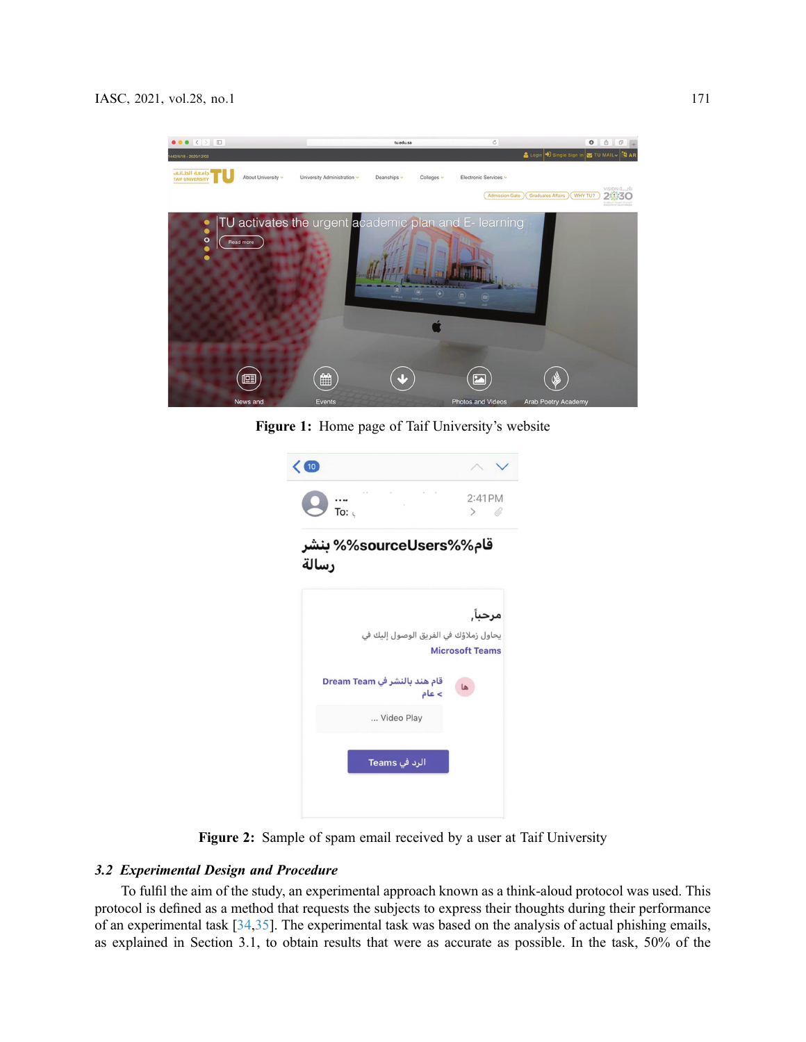<span id="page-4-0"></span>

Figure 1: Home page of Taif University's website

<span id="page-4-1"></span>

| $\langle 10 \rangle$                  |                                |
|---------------------------------------|--------------------------------|
| To: $\epsilon$                        | 2:41 PM<br>U)<br>$\rightarrow$ |
| قام%%sourceUsers% بنشر<br>رسالة       |                                |
|                                       | مرحبآ,                         |
| يحاول زملاؤك في الفريق الوصول إليك في | <b>Microsoft Teams</b>         |
| قام هند بالنشر في Dream Team<br>> عام | ها                             |
| Video Play                            |                                |
| الرد في Teams                         |                                |
|                                       |                                |

Figure 2: Sample of spam email received by a user at Taif University

# 3.2 Experimental Design and Procedure

To fulfil the aim of the study, an experimental approach known as a think-aloud protocol was used. This protocol is defined as a method that requests the subjects to express their thoughts during their performance of an experimental task [\[34](#page-10-7),[35\]](#page-10-8). The experimental task was based on the analysis of actual phishing emails, as explained in Section 3.1, to obtain results that were as accurate as possible. In the task, 50% of the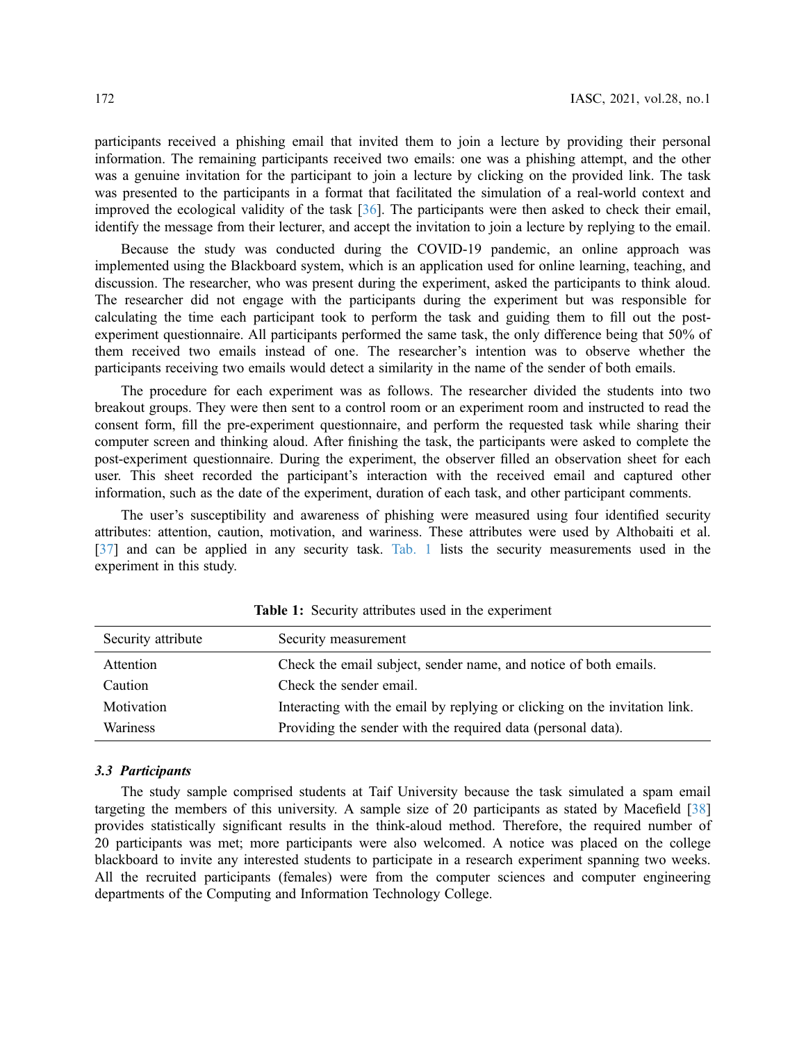participants received a phishing email that invited them to join a lecture by providing their personal information. The remaining participants received two emails: one was a phishing attempt, and the other was a genuine invitation for the participant to join a lecture by clicking on the provided link. The task was presented to the participants in a format that facilitated the simulation of a real-world context and improved the ecological validity of the task [\[36](#page-10-9)]. The participants were then asked to check their email, identify the message from their lecturer, and accept the invitation to join a lecture by replying to the email.

Because the study was conducted during the COVID-19 pandemic, an online approach was implemented using the Blackboard system, which is an application used for online learning, teaching, and discussion. The researcher, who was present during the experiment, asked the participants to think aloud. The researcher did not engage with the participants during the experiment but was responsible for calculating the time each participant took to perform the task and guiding them to fill out the postexperiment questionnaire. All participants performed the same task, the only difference being that 50% of them received two emails instead of one. The researcher's intention was to observe whether the participants receiving two emails would detect a similarity in the name of the sender of both emails.

The procedure for each experiment was as follows. The researcher divided the students into two breakout groups. They were then sent to a control room or an experiment room and instructed to read the consent form, fill the pre-experiment questionnaire, and perform the requested task while sharing their computer screen and thinking aloud. After finishing the task, the participants were asked to complete the post-experiment questionnaire. During the experiment, the observer filled an observation sheet for each user. This sheet recorded the participant's interaction with the received email and captured other information, such as the date of the experiment, duration of each task, and other participant comments.

The user's susceptibility and awareness of phishing were measured using four identified security attributes: attention, caution, motivation, and wariness. These attributes were used by Althobaiti et al. [[37](#page-10-10)] and can be applied in any security task. [Tab. 1](#page-5-0) lists the security measurements used in the experiment in this study.

<span id="page-5-0"></span>

| Security attribute | Security measurement                                                       |
|--------------------|----------------------------------------------------------------------------|
| Attention          | Check the email subject, sender name, and notice of both emails.           |
| Caution            | Check the sender email.                                                    |
| Motivation         | Interacting with the email by replying or clicking on the invitation link. |
| <b>Wariness</b>    | Providing the sender with the required data (personal data).               |

Table 1: Security attributes used in the experiment

#### 3.3 Participants

The study sample comprised students at Taif University because the task simulated a spam email targeting the members of this university. A sample size of 20 participants as stated by Macefield [[38\]](#page-10-11) provides statistically significant results in the think-aloud method. Therefore, the required number of 20 participants was met; more participants were also welcomed. A notice was placed on the college blackboard to invite any interested students to participate in a research experiment spanning two weeks. All the recruited participants (females) were from the computer sciences and computer engineering departments of the Computing and Information Technology College.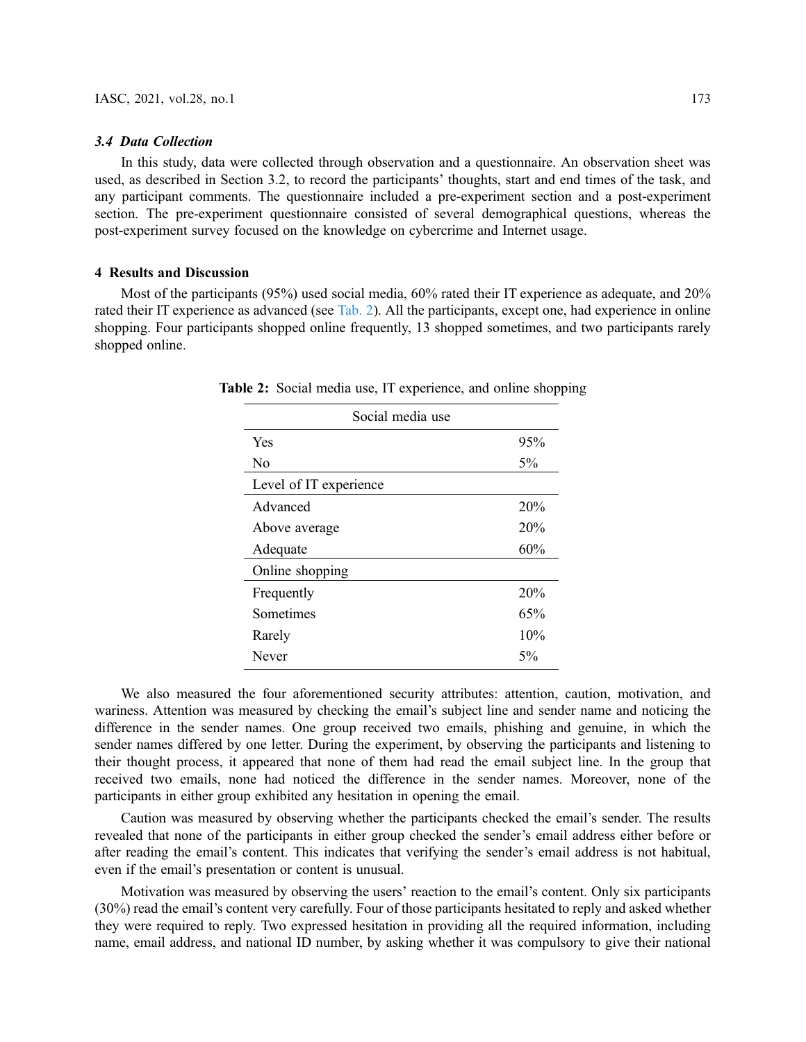#### 3.4 Data Collection

In this study, data were collected through observation and a questionnaire. An observation sheet was used, as described in Section 3.2, to record the participants' thoughts, start and end times of the task, and any participant comments. The questionnaire included a pre-experiment section and a post-experiment section. The pre-experiment questionnaire consisted of several demographical questions, whereas the post-experiment survey focused on the knowledge on cybercrime and Internet usage.

## 4 Results and Discussion

<span id="page-6-0"></span>Most of the participants (95%) used social media, 60% rated their IT experience as adequate, and 20% rated their IT experience as advanced (see [Tab. 2\)](#page-6-0). All the participants, except one, had experience in online shopping. Four participants shopped online frequently, 13 shopped sometimes, and two participants rarely shopped online.

| Social media use       |       |
|------------------------|-------|
| Yes                    | 95%   |
| No                     | 5%    |
| Level of IT experience |       |
| Advanced               | 20%   |
| Above average          | 20%   |
| Adequate               | 60%   |
| Online shopping        |       |
| Frequently             | 20%   |
| Sometimes              | 65%   |
| Rarely                 | 10%   |
| Never                  | $5\%$ |

Table 2: Social media use, IT experience, and online shopping

We also measured the four aforementioned security attributes: attention, caution, motivation, and wariness. Attention was measured by checking the email's subject line and sender name and noticing the difference in the sender names. One group received two emails, phishing and genuine, in which the sender names differed by one letter. During the experiment, by observing the participants and listening to their thought process, it appeared that none of them had read the email subject line. In the group that received two emails, none had noticed the difference in the sender names. Moreover, none of the participants in either group exhibited any hesitation in opening the email.

Caution was measured by observing whether the participants checked the email's sender. The results revealed that none of the participants in either group checked the sender's email address either before or after reading the email's content. This indicates that verifying the sender's email address is not habitual, even if the email's presentation or content is unusual.

Motivation was measured by observing the users' reaction to the email's content. Only six participants (30%) read the email's content very carefully. Four of those participants hesitated to reply and asked whether they were required to reply. Two expressed hesitation in providing all the required information, including name, email address, and national ID number, by asking whether it was compulsory to give their national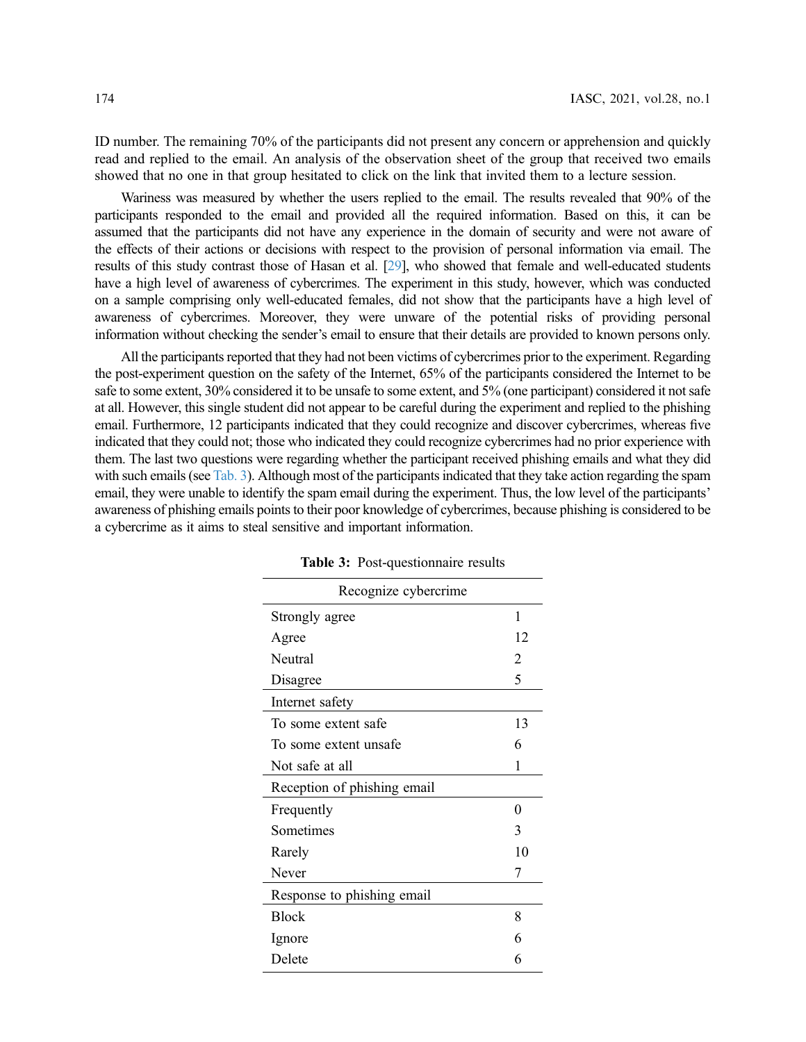ID number. The remaining 70% of the participants did not present any concern or apprehension and quickly read and replied to the email. An analysis of the observation sheet of the group that received two emails showed that no one in that group hesitated to click on the link that invited them to a lecture session.

Wariness was measured by whether the users replied to the email. The results revealed that 90% of the participants responded to the email and provided all the required information. Based on this, it can be assumed that the participants did not have any experience in the domain of security and were not aware of the effects of their actions or decisions with respect to the provision of personal information via email. The results of this study contrast those of Hasan et al. [[29](#page-10-2)], who showed that female and well-educated students have a high level of awareness of cybercrimes. The experiment in this study, however, which was conducted on a sample comprising only well-educated females, did not show that the participants have a high level of awareness of cybercrimes. Moreover, they were unware of the potential risks of providing personal information without checking the sender's email to ensure that their details are provided to known persons only.

All the participants reported that they had not been victims of cybercrimes prior to the experiment. Regarding the post-experiment question on the safety of the Internet, 65% of the participants considered the Internet to be safe to some extent, 30% considered it to be unsafe to some extent, and 5% (one participant) considered it not safe at all. However, this single student did not appear to be careful during the experiment and replied to the phishing email. Furthermore, 12 participants indicated that they could recognize and discover cybercrimes, whereas five indicated that they could not; those who indicated they could recognize cybercrimes had no prior experience with them. The last two questions were regarding whether the participant received phishing emails and what they did with such emails (see [Tab. 3\)](#page-7-0). Although most of the participants indicated that they take action regarding the spam email, they were unable to identify the spam email during the experiment. Thus, the low level of the participants' awareness of phishing emails points to their poor knowledge of cybercrimes, because phishing is considered to be a cybercrime as it aims to steal sensitive and important information.

| Recognize cybercrime        |    |  |
|-----------------------------|----|--|
| Strongly agree              | 1  |  |
| Agree                       | 12 |  |
| Neutral                     | 2  |  |
| Disagree                    | 5  |  |
| Internet safety             |    |  |
| To some extent safe         | 13 |  |
| To some extent unsafe       | 6  |  |
| Not safe at all             | 1  |  |
| Reception of phishing email |    |  |
| Frequently                  | 0  |  |
| Sometimes                   | 3  |  |
| Rarely                      | 10 |  |
| Never                       | 7  |  |
| Response to phishing email  |    |  |
| <b>Block</b>                | 8  |  |
| Ignore                      | 6  |  |
| Delete                      | 6  |  |

<span id="page-7-0"></span>Table 3: Post-questionnaire results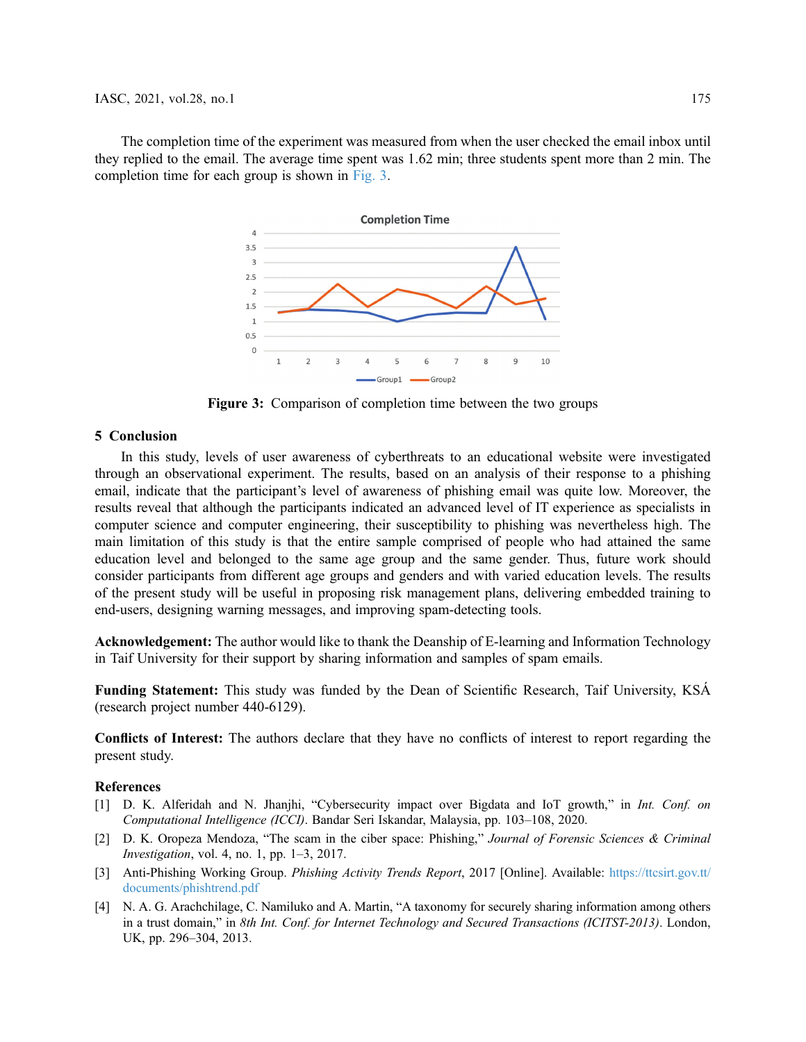<span id="page-8-4"></span>The completion time of the experiment was measured from when the user checked the email inbox until they replied to the email. The average time spent was 1.62 min; three students spent more than 2 min. The completion time for each group is shown in [Fig. 3](#page-8-4).



Figure 3: Comparison of completion time between the two groups

# 5 Conclusion

In this study, levels of user awareness of cyberthreats to an educational website were investigated through an observational experiment. The results, based on an analysis of their response to a phishing email, indicate that the participant's level of awareness of phishing email was quite low. Moreover, the results reveal that although the participants indicated an advanced level of IT experience as specialists in computer science and computer engineering, their susceptibility to phishing was nevertheless high. The main limitation of this study is that the entire sample comprised of people who had attained the same education level and belonged to the same age group and the same gender. Thus, future work should consider participants from different age groups and genders and with varied education levels. The results of the present study will be useful in proposing risk management plans, delivering embedded training to end-users, designing warning messages, and improving spam-detecting tools.

Acknowledgement: The author would like to thank the Deanship of E-learning and Information Technology in Taif University for their support by sharing information and samples of spam emails.

Funding Statement: This study was funded by the Dean of Scientific Research, Taif University, KSÁ (research project number 440-6129).

Conflicts of Interest: The authors declare that they have no conflicts of interest to report regarding the present study.

#### References

- <span id="page-8-0"></span>[1] D. K. Alferidah and N. Jhanjhi, "Cybersecurity impact over Bigdata and IoT growth," in Int. Conf. on Computational Intelligence (ICCI). Bandar Seri Iskandar, Malaysia, pp. 103–108, 2020.
- <span id="page-8-1"></span>[2] D. K. Oropeza Mendoza, "The scam in the ciber space: Phishing," Journal of Forensic Sciences & Criminal Investigation, vol. 4, no. 1, pp. 1–3, 2017.
- <span id="page-8-2"></span>[3] Anti-Phishing Working Group. Phishing Activity Trends Report, 2017 [Online]. Available: [https://ttcsirt.gov.tt/](https://ttcsirt.gov.tt/documents/phishtrend.pdf) [documents/phishtrend.pdf](https://ttcsirt.gov.tt/documents/phishtrend.pdf)
- <span id="page-8-3"></span>[4] N. A. G. Arachchilage, C. Namiluko and A. Martin, "A taxonomy for securely sharing information among others in a trust domain," in 8th Int. Conf. for Internet Technology and Secured Transactions (ICITST-2013). London, UK, pp. 296–304, 2013.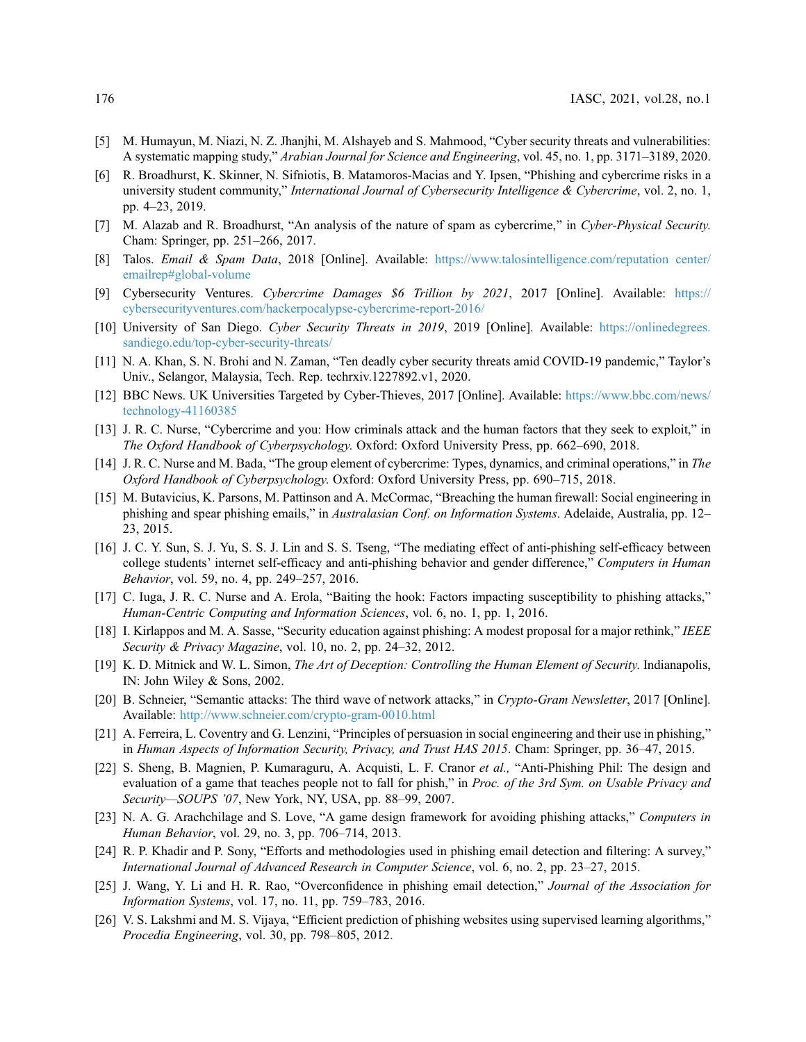- <span id="page-9-0"></span>[5] M. Humayun, M. Niazi, N. Z. Jhanjhi, M. Alshayeb and S. Mahmood, "Cyber security threats and vulnerabilities: A systematic mapping study," Arabian Journal for Science and Engineering, vol. 45, no. 1, pp. 3171–3189, 2020.
- <span id="page-9-1"></span>[6] R. Broadhurst, K. Skinner, N. Sifniotis, B. Matamoros-Macias and Y. Ipsen, "Phishing and cybercrime risks in a university student community," International Journal of Cybersecurity Intelligence & Cybercrime, vol. 2, no. 1, pp. 4–23, 2019.
- <span id="page-9-2"></span>[7] M. Alazab and R. Broadhurst, "An analysis of the nature of spam as cybercrime," in Cyber-Physical Security. Cham: Springer, pp. 251–266, 2017.
- <span id="page-9-3"></span>[8] Talos. Email & Spam Data, 2018 [Online]. Available: [https://www.talosintelligence.com/reputation center/](https://www.talosintelligence.com/reputationcenter/emailrep#global-volume) [emailrep#global-volume](https://www.talosintelligence.com/reputationcenter/emailrep#global-volume)
- <span id="page-9-4"></span>[9] Cybersecurity Ventures. Cybercrime Damages \$6 Trillion by 2021, 2017 [Online]. Available: [https://](https://cybersecurityventures.com/hackerpocalypse-cybercrime-report-2016/) [cybersecurityventures.com/hackerpocalypse-cybercrime-report-2016/](https://cybersecurityventures.com/hackerpocalypse-cybercrime-report-2016/)
- <span id="page-9-5"></span>[10] University of San Diego. Cyber Security Threats in 2019, 2019 [Online]. Available: [https://onlinedegrees.](https://onlinedegrees.sandiego.edu/top-cyber-security-threats/) [sandiego.edu/top-cyber-security-threats/](https://onlinedegrees.sandiego.edu/top-cyber-security-threats/)
- <span id="page-9-6"></span>[11] N. A. Khan, S. N. Brohi and N. Zaman, "Ten deadly cyber security threats amid COVID-19 pandemic," Taylor's Univ., Selangor, Malaysia, Tech. Rep. techrxiv.1227892.v1, 2020.
- <span id="page-9-7"></span>[12] BBC News. UK Universities Targeted by Cyber-Thieves, 2017 [Online]. Available: [https://www.bbc.com/news/](https://www.bbc.com/news/technology-41160385) [technology-41160385](https://www.bbc.com/news/technology-41160385)
- <span id="page-9-8"></span>[13] J. R. C. Nurse, "Cybercrime and you: How criminals attack and the human factors that they seek to exploit," in The Oxford Handbook of Cyberpsychology. Oxford: Oxford University Press, pp. 662–690, 2018.
- <span id="page-9-9"></span>[14] J. R. C. Nurse and M. Bada, "The group element of cybercrime: Types, dynamics, and criminal operations," in The Oxford Handbook of Cyberpsychology. Oxford: Oxford University Press, pp. 690–715, 2018.
- <span id="page-9-10"></span>[15] M. Butavicius, K. Parsons, M. Pattinson and A. McCormac, "Breaching the human firewall: Social engineering in phishing and spear phishing emails," in Australasian Conf. on Information Systems. Adelaide, Australia, pp. 12– 23, 2015.
- <span id="page-9-11"></span>[16] J. C. Y. Sun, S. J. Yu, S. S. J. Lin and S. S. Tseng, "The mediating effect of anti-phishing self-efficacy between college students' internet self-efficacy and anti-phishing behavior and gender difference," Computers in Human Behavior, vol. 59, no. 4, pp. 249–257, 2016.
- <span id="page-9-12"></span>[17] C. Iuga, J. R. C. Nurse and A. Erola, "Baiting the hook: Factors impacting susceptibility to phishing attacks," Human-Centric Computing and Information Sciences, vol. 6, no. 1, pp. 1, 2016.
- <span id="page-9-13"></span>[18] I. Kirlappos and M. A. Sasse, "Security education against phishing: A modest proposal for a major rethink," IEEE Security & Privacy Magazine, vol. 10, no. 2, pp. 24–32, 2012.
- [19] K. D. Mitnick and W. L. Simon, The Art of Deception: Controlling the Human Element of Security. Indianapolis, IN: John Wiley & Sons, 2002.
- [20] B. Schneier, "Semantic attacks: The third wave of network attacks," in Crypto-Gram Newsletter, 2017 [Online]. Available: <http://www.schneier.com/crypto-gram-0010.html>
- <span id="page-9-14"></span>[21] A. Ferreira, L. Coventry and G. Lenzini, "Principles of persuasion in social engineering and their use in phishing," in Human Aspects of Information Security, Privacy, and Trust HAS 2015. Cham: Springer, pp. 36–47, 2015.
- <span id="page-9-15"></span>[22] S. Sheng, B. Magnien, P. Kumaraguru, A. Acquisti, L. F. Cranor et al., "Anti-Phishing Phil: The design and evaluation of a game that teaches people not to fall for phish," in Proc. of the 3rd Sym. on Usable Privacy and Security—SOUPS '07, New York, NY, USA, pp. 88–99, 2007.
- <span id="page-9-16"></span>[23] N. A. G. Arachchilage and S. Love, "A game design framework for avoiding phishing attacks," Computers in Human Behavior, vol. 29, no. 3, pp. 706–714, 2013.
- <span id="page-9-17"></span>[24] R. P. Khadir and P. Sony, "Efforts and methodologies used in phishing email detection and filtering: A survey," International Journal of Advanced Research in Computer Science, vol. 6, no. 2, pp. 23–27, 2015.
- [25] J. Wang, Y. Li and H. R. Rao, "Overconfidence in phishing email detection," Journal of the Association for Information Systems, vol. 17, no. 11, pp. 759–783, 2016.
- [26] V. S. Lakshmi and M. S. Vijaya, "Efficient prediction of phishing websites using supervised learning algorithms," Procedia Engineering, vol. 30, pp. 798–805, 2012.